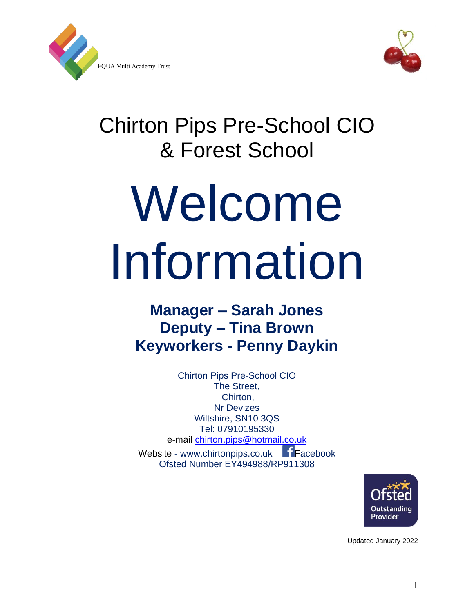



## Chirton Pips Pre-School CIO & Forest School

# Welcome Information

### **Manager – Sarah Jones Deputy – Tina Brown Keyworkers - Penny Daykin**

Chirton Pips Pre-School CIO The Street, Chirton, Nr Devizes Wiltshire, SN10 3QS Tel: 07910195330 e-mail [chirton.pips@hotmail.co.uk](mailto:Chirton.pips@hotmail.co.uk)  Website - www.chirtonpips.co.uk Facebook Ofsted Number EY494988/RP911308



Updated January 2022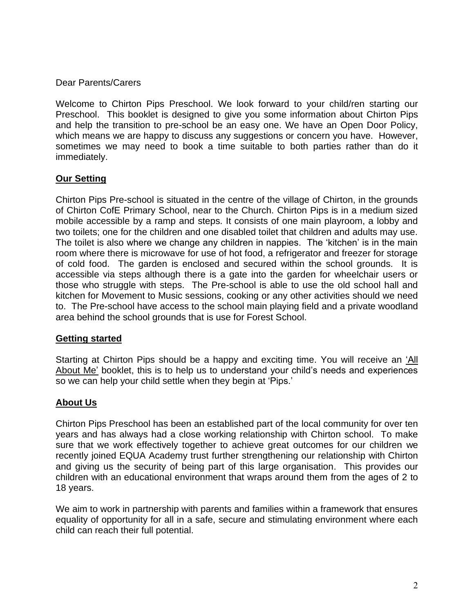Dear Parents/Carers

Welcome to Chirton Pips Preschool. We look forward to your child/ren starting our Preschool. This booklet is designed to give you some information about Chirton Pips and help the transition to pre-school be an easy one. We have an Open Door Policy, which means we are happy to discuss any suggestions or concern you have. However, sometimes we may need to book a time suitable to both parties rather than do it immediately.

#### **Our Setting**

Chirton Pips Pre-school is situated in the centre of the village of Chirton, in the grounds of Chirton CofE Primary School, near to the Church. Chirton Pips is in a medium sized mobile accessible by a ramp and steps. It consists of one main playroom, a lobby and two toilets; one for the children and one disabled toilet that children and adults may use. The toilet is also where we change any children in nappies. The 'kitchen' is in the main room where there is microwave for use of hot food, a refrigerator and freezer for storage of cold food. The garden is enclosed and secured within the school grounds. It is accessible via steps although there is a gate into the garden for wheelchair users or those who struggle with steps. The Pre-school is able to use the old school hall and kitchen for Movement to Music sessions, cooking or any other activities should we need to. The Pre-school have access to the school main playing field and a private woodland area behind the school grounds that is use for Forest School.

#### **Getting started**

Starting at Chirton Pips should be a happy and exciting time. You will receive an 'All About Me' booklet, this is to help us to understand your child's needs and experiences so we can help your child settle when they begin at 'Pips.'

#### **About Us**

Chirton Pips Preschool has been an established part of the local community for over ten years and has always had a close working relationship with Chirton school. To make sure that we work effectively together to achieve great outcomes for our children we recently joined EQUA Academy trust further strengthening our relationship with Chirton and giving us the security of being part of this large organisation. This provides our children with an educational environment that wraps around them from the ages of 2 to 18 years.

We aim to work in partnership with parents and families within a framework that ensures equality of opportunity for all in a safe, secure and stimulating environment where each child can reach their full potential.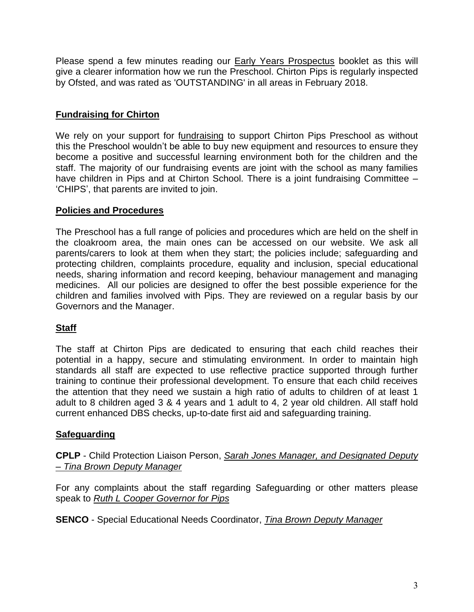Please spend a few minutes reading our **Early Years Prospectus** booklet as this will give a clearer information how we run the Preschool. Chirton Pips is regularly inspected by Ofsted, and was rated as 'OUTSTANDING' in all areas in February 2018.

#### **Fundraising for Chirton**

We rely on your support for fundraising to support Chirton Pips Preschool as without this the Preschool wouldn't be able to buy new equipment and resources to ensure they become a positive and successful learning environment both for the children and the staff. The majority of our fundraising events are joint with the school as many families have children in Pips and at Chirton School. There is a joint fundraising Committee – 'CHIPS', that parents are invited to join.

#### **Policies and Procedures**

The Preschool has a full range of policies and procedures which are held on the shelf in the cloakroom area, the main ones can be accessed on our website. We ask all parents/carers to look at them when they start; the policies include; safeguarding and protecting children, complaints procedure, equality and inclusion, special educational needs, sharing information and record keeping, behaviour management and managing medicines. All our policies are designed to offer the best possible experience for the children and families involved with Pips. They are reviewed on a regular basis by our Governors and the Manager.

#### **Staff**

The staff at Chirton Pips are dedicated to ensuring that each child reaches their potential in a happy, secure and stimulating environment. In order to maintain high standards all staff are expected to use reflective practice supported through further training to continue their professional development. To ensure that each child receives the attention that they need we sustain a high ratio of adults to children of at least 1 adult to 8 children aged 3 & 4 years and 1 adult to 4, 2 year old children. All staff hold current enhanced DBS checks, up-to-date first aid and safeguarding training.

#### **Safeguarding**

**CPLP** - Child Protection Liaison Person, *Sarah Jones Manager, and Designated Deputy – Tina Brown Deputy Manager*

For any complaints about the staff regarding Safeguarding or other matters please speak to *Ruth L Cooper Governor for Pips*

**SENCO** - Special Educational Needs Coordinator, *Tina Brown Deputy Manager*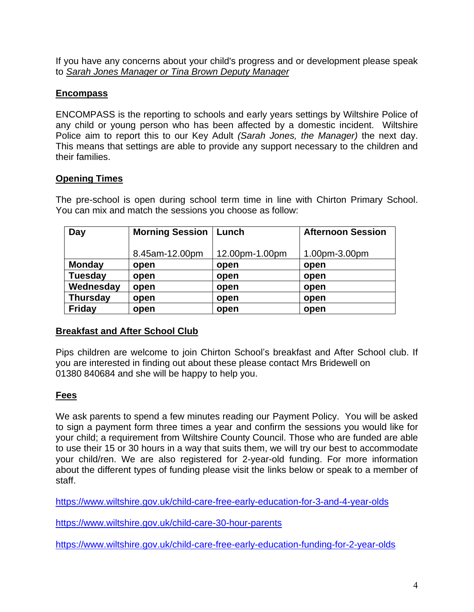If you have any concerns about your child's progress and or development please speak to *Sarah Jones Manager or Tina Brown Deputy Manager*

#### **Encompass**

ENCOMPASS is the reporting to schools and early years settings by Wiltshire Police of any child or young person who has been affected by a domestic incident. Wiltshire Police aim to report this to our Key Adult *(Sarah Jones, the Manager)* the next day. This means that settings are able to provide any support necessary to the children and their families.

#### **Opening Times**

The pre-school is open during school term time in line with Chirton Primary School. You can mix and match the sessions you choose as follow:

| Day            | <b>Morning Session</b> | Lunch          | <b>Afternoon Session</b> |
|----------------|------------------------|----------------|--------------------------|
|                |                        |                |                          |
|                | 8.45am-12.00pm         | 12.00pm-1.00pm | 1.00pm-3.00pm            |
| <b>Monday</b>  | open                   | open           | open                     |
| <b>Tuesday</b> | open                   | open           | open                     |
| Wednesday      | open                   | open           | open                     |
| Thursday       | open                   | open           | open                     |
| <b>Friday</b>  | open                   | open           | open                     |

#### **Breakfast and After School Club**

Pips children are welcome to join Chirton School's breakfast and After School club. If you are interested in finding out about these please contact Mrs Bridewell on 01380 840684 and she will be happy to help you.

#### **Fees**

We ask parents to spend a few minutes reading our Payment Policy. You will be asked to sign a payment form three times a year and confirm the sessions you would like for your child; a requirement from Wiltshire County Council. Those who are funded are able to use their 15 or 30 hours in a way that suits them, we will try our best to accommodate your child/ren. We are also registered for 2-year-old funding. For more information about the different types of funding please visit the links below or speak to a member of staff.

<https://www.wiltshire.gov.uk/child-care-free-early-education-for-3-and-4-year-olds>

<https://www.wiltshire.gov.uk/child-care-30-hour-parents>

<https://www.wiltshire.gov.uk/child-care-free-early-education-funding-for-2-year-olds>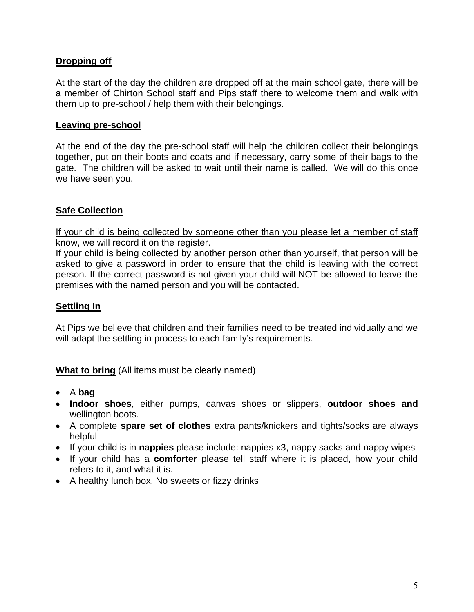#### **Dropping off**

At the start of the day the children are dropped off at the main school gate, there will be a member of Chirton School staff and Pips staff there to welcome them and walk with them up to pre-school / help them with their belongings.

#### **Leaving pre-school**

At the end of the day the pre-school staff will help the children collect their belongings together, put on their boots and coats and if necessary, carry some of their bags to the gate. The children will be asked to wait until their name is called. We will do this once we have seen you.

#### **Safe Collection**

If your child is being collected by someone other than you please let a member of staff know, we will record it on the register.

If your child is being collected by another person other than yourself, that person will be asked to give a password in order to ensure that the child is leaving with the correct person. If the correct password is not given your child will NOT be allowed to leave the premises with the named person and you will be contacted.

#### **Settling In**

At Pips we believe that children and their families need to be treated individually and we will adapt the settling in process to each family's requirements.

#### **What to bring** (All items must be clearly named)

- A **bag**
- **Indoor shoes**, either pumps, canvas shoes or slippers, **outdoor shoes and**  wellington boots.
- A complete **spare set of clothes** extra pants/knickers and tights/socks are always helpful
- If your child is in **nappies** please include: nappies x3, nappy sacks and nappy wipes
- If your child has a **comforter** please tell staff where it is placed, how your child refers to it, and what it is.
- A healthy lunch box. No sweets or fizzy drinks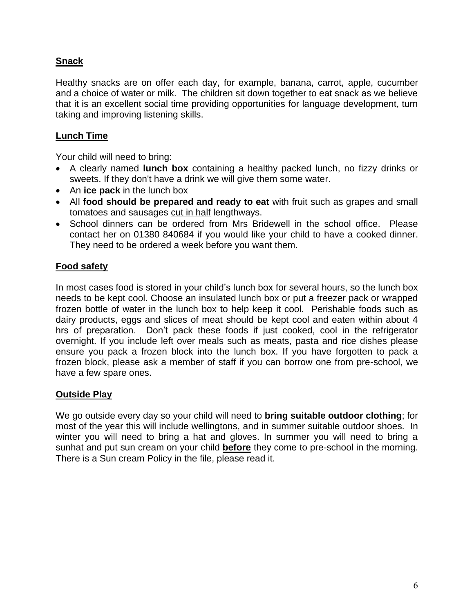#### **Snack**

Healthy snacks are on offer each day, for example, banana, carrot, apple, cucumber and a choice of water or milk. The children sit down together to eat snack as we believe that it is an excellent social time providing opportunities for language development, turn taking and improving listening skills.

#### **Lunch Time**

Your child will need to bring:

- A clearly named **lunch box** containing a healthy packed lunch, no fizzy drinks or sweets. If they don't have a drink we will give them some water.
- An **ice pack** in the lunch box
- All **food should be prepared and ready to eat** with fruit such as grapes and small tomatoes and sausages cut in half lengthways.
- School dinners can be ordered from Mrs Bridewell in the school office. Please contact her on 01380 840684 if you would like your child to have a cooked dinner. They need to be ordered a week before you want them.

#### **Food safety**

In most cases food is stored in your child's lunch box for several hours, so the lunch box needs to be kept cool. Choose an insulated lunch box or put a freezer pack or wrapped frozen bottle of water in the lunch box to help keep it cool. Perishable foods such as dairy products, eggs and slices of meat should be kept cool and eaten within about 4 hrs of preparation. Don't pack these foods if just cooked, cool in the refrigerator overnight. If you include left over meals such as meats, pasta and rice dishes please ensure you pack a frozen block into the lunch box. If you have forgotten to pack a frozen block, please ask a member of staff if you can borrow one from pre-school, we have a few spare ones.

#### **Outside Play**

We go outside every day so your child will need to **bring suitable outdoor clothing**; for most of the year this will include wellingtons, and in summer suitable outdoor shoes. In winter you will need to bring a hat and gloves. In summer you will need to bring a sunhat and put sun cream on your child **before** they come to pre-school in the morning. There is a Sun cream Policy in the file, please read it.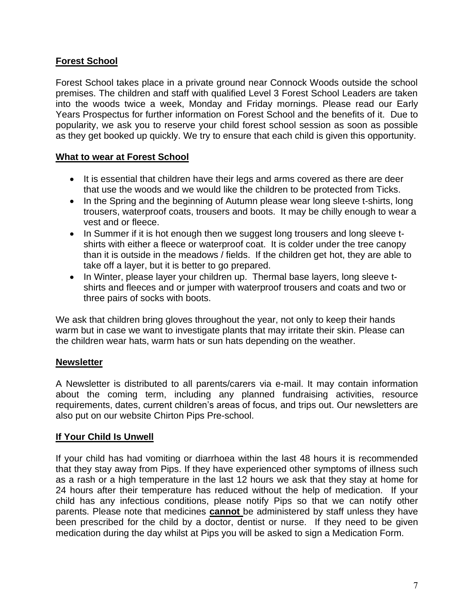#### **Forest School**

Forest School takes place in a private ground near Connock Woods outside the school premises. The children and staff with qualified Level 3 Forest School Leaders are taken into the woods twice a week, Monday and Friday mornings. Please read our Early Years Prospectus for further information on Forest School and the benefits of it. Due to popularity, we ask you to reserve your child forest school session as soon as possible as they get booked up quickly. We try to ensure that each child is given this opportunity.

#### **What to wear at Forest School**

- It is essential that children have their legs and arms covered as there are deer that use the woods and we would like the children to be protected from Ticks.
- In the Spring and the beginning of Autumn please wear long sleeve t-shirts, long trousers, waterproof coats, trousers and boots. It may be chilly enough to wear a vest and or fleece.
- In Summer if it is hot enough then we suggest long trousers and long sleeve tshirts with either a fleece or waterproof coat. It is colder under the tree canopy than it is outside in the meadows / fields. If the children get hot, they are able to take off a layer, but it is better to go prepared.
- In Winter, please layer your children up. Thermal base layers, long sleeve tshirts and fleeces and or jumper with waterproof trousers and coats and two or three pairs of socks with boots.

We ask that children bring gloves throughout the year, not only to keep their hands warm but in case we want to investigate plants that may irritate their skin. Please can the children wear hats, warm hats or sun hats depending on the weather.

#### **Newsletter**

A Newsletter is distributed to all parents/carers via e-mail. It may contain information about the coming term, including any planned fundraising activities, resource requirements, dates, current children's areas of focus, and trips out. Our newsletters are also put on our website Chirton Pips Pre-school.

#### **If Your Child Is Unwell**

If your child has had vomiting or diarrhoea within the last 48 hours it is recommended that they stay away from Pips. If they have experienced other symptoms of illness such as a rash or a high temperature in the last 12 hours we ask that they stay at home for 24 hours after their temperature has reduced without the help of medication. If your child has any infectious conditions, please notify Pips so that we can notify other parents. Please note that medicines **cannot** be administered by staff unless they have been prescribed for the child by a doctor, dentist or nurse. If they need to be given medication during the day whilst at Pips you will be asked to sign a Medication Form.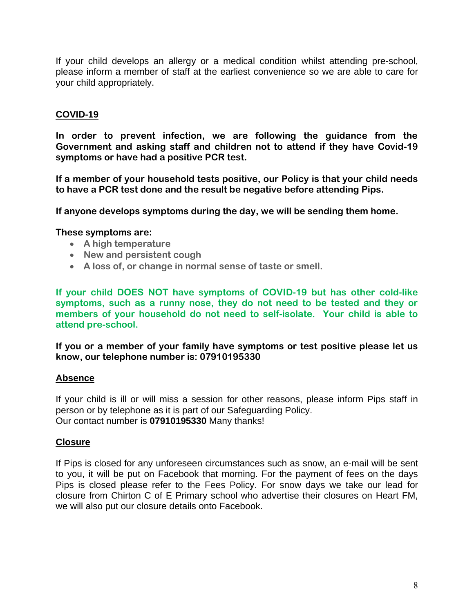If your child develops an allergy or a medical condition whilst attending pre-school, please inform a member of staff at the earliest convenience so we are able to care for your child appropriately.

#### **COVID-19**

**In order to prevent infection, we are following the guidance from the Government and asking staff and children not to attend if they have Covid-19 symptoms or have had a positive PCR test.**

**If a member of your household tests positive, our Policy is that your child needs to have a PCR test done and the result be negative before attending Pips.**

**If anyone develops symptoms during the day, we will be sending them home.** 

#### **These symptoms are:**

- **A high temperature**
- **New and persistent cough**
- **A loss of, or change in normal sense of taste or smell.**

**If your child DOES NOT have symptoms of COVID-19 but has other cold-like symptoms, such as a runny nose, they do not need to be tested and they or members of your household do not need to self-isolate. Your child is able to attend pre-school.**

**If you or a member of your family have symptoms or test positive please let us know, our telephone number is: 07910195330**

#### **Absence**

If your child is ill or will miss a session for other reasons, please inform Pips staff in person or by telephone as it is part of our Safeguarding Policy. Our contact number is **07910195330** Many thanks!

#### **Closure**

If Pips is closed for any unforeseen circumstances such as snow, an e-mail will be sent to you, it will be put on Facebook that morning. For the payment of fees on the days Pips is closed please refer to the Fees Policy. For snow days we take our lead for closure from Chirton C of E Primary school who advertise their closures on Heart FM, we will also put our closure details onto Facebook.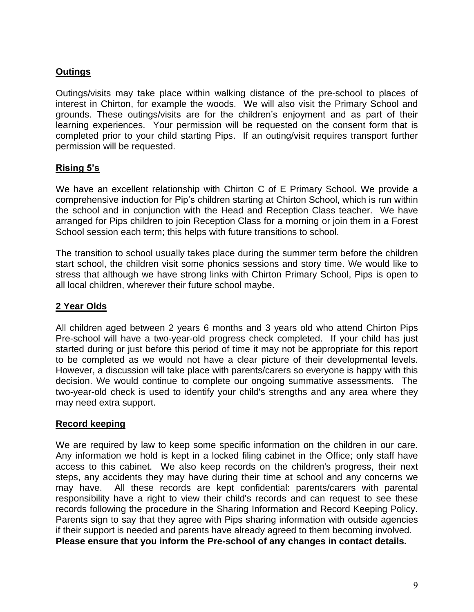#### **Outings**

Outings/visits may take place within walking distance of the pre-school to places of interest in Chirton, for example the woods. We will also visit the Primary School and grounds. These outings/visits are for the children's enjoyment and as part of their learning experiences. Your permission will be requested on the consent form that is completed prior to your child starting Pips. If an outing/visit requires transport further permission will be requested.

#### **Rising 5's**

We have an excellent relationship with Chirton C of E Primary School. We provide a comprehensive induction for Pip's children starting at Chirton School, which is run within the school and in conjunction with the Head and Reception Class teacher. We have arranged for Pips children to join Reception Class for a morning or join them in a Forest School session each term; this helps with future transitions to school.

The transition to school usually takes place during the summer term before the children start school, the children visit some phonics sessions and story time. We would like to stress that although we have strong links with Chirton Primary School, Pips is open to all local children, wherever their future school maybe.

#### **2 Year Olds**

All children aged between 2 years 6 months and 3 years old who attend Chirton Pips Pre-school will have a two-year-old progress check completed. If your child has just started during or just before this period of time it may not be appropriate for this report to be completed as we would not have a clear picture of their developmental levels. However, a discussion will take place with parents/carers so everyone is happy with this decision. We would continue to complete our ongoing summative assessments. The two-year-old check is used to identify your child's strengths and any area where they may need extra support.

#### **Record keeping**

We are required by law to keep some specific information on the children in our care. Any information we hold is kept in a locked filing cabinet in the Office; only staff have access to this cabinet. We also keep records on the children's progress, their next steps, any accidents they may have during their time at school and any concerns we may have. All these records are kept confidential: parents/carers with parental responsibility have a right to view their child's records and can request to see these records following the procedure in the Sharing Information and Record Keeping Policy. Parents sign to say that they agree with Pips sharing information with outside agencies if their support is needed and parents have already agreed to them becoming involved. **Please ensure that you inform the Pre-school of any changes in contact details.**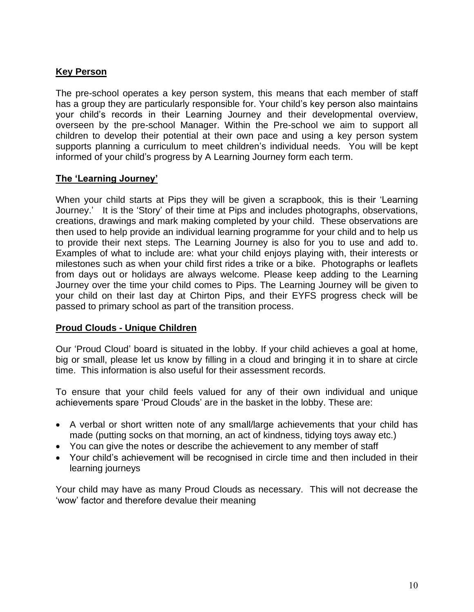#### **Key Person**

The pre-school operates a key person system, this means that each member of staff has a group they are particularly responsible for. Your child's key person also maintains your child's records in their Learning Journey and their developmental overview, overseen by the pre-school Manager. Within the Pre-school we aim to support all children to develop their potential at their own pace and using a key person system supports planning a curriculum to meet children's individual needs. You will be kept informed of your child's progress by A Learning Journey form each term.

#### **The 'Learning Journey'**

When your child starts at Pips they will be given a scrapbook, this is their 'Learning Journey.' It is the 'Story' of their time at Pips and includes photographs, observations, creations, drawings and mark making completed by your child. These observations are then used to help provide an individual learning programme for your child and to help us to provide their next steps. The Learning Journey is also for you to use and add to. Examples of what to include are: what your child enjoys playing with, their interests or milestones such as when your child first rides a trike or a bike. Photographs or leaflets from days out or holidays are always welcome. Please keep adding to the Learning Journey over the time your child comes to Pips. The Learning Journey will be given to your child on their last day at Chirton Pips, and their EYFS progress check will be passed to primary school as part of the transition process.

#### **Proud Clouds - Unique Children**

Our 'Proud Cloud' board is situated in the lobby. If your child achieves a goal at home, big or small, please let us know by filling in a cloud and bringing it in to share at circle time. This information is also useful for their assessment records.

To ensure that your child feels valued for any of their own individual and unique achievements spare 'Proud Clouds' are in the basket in the lobby. These are:

- A verbal or short written note of any small/large achievements that your child has made (putting socks on that morning, an act of kindness, tidying toys away etc.)
- You can give the notes or describe the achievement to any member of staff
- Your child's achievement will be recognised in circle time and then included in their learning journeys

Your child may have as many Proud Clouds as necessary. This will not decrease the 'wow' factor and therefore devalue their meaning